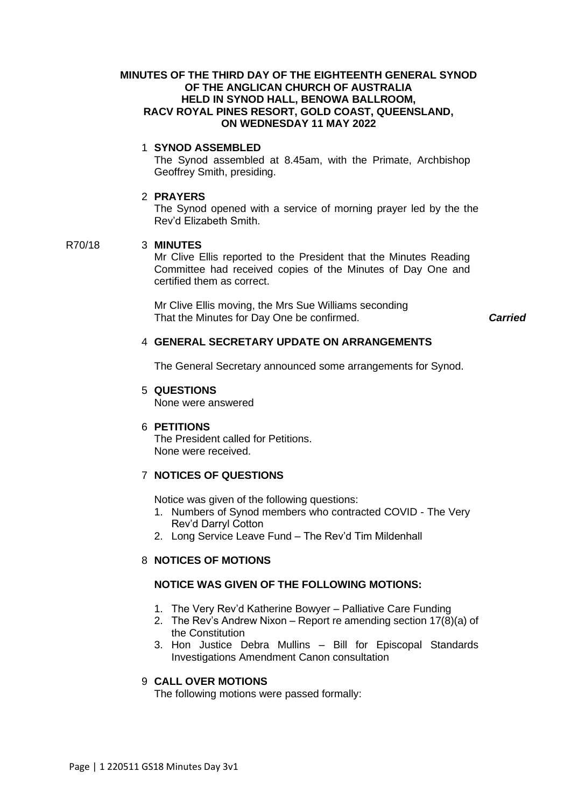# **MINUTES OF THE THIRD DAY OF THE EIGHTEENTH GENERAL SYNOD OF THE ANGLICAN CHURCH OF AUSTRALIA HELD IN SYNOD HALL, BENOWA BALLROOM, RACV ROYAL PINES RESORT, GOLD COAST, QUEENSLAND, ON WEDNESDAY 11 MAY 2022**

# 1 **SYNOD ASSEMBLED**

The Synod assembled at 8.45am, with the Primate, Archbishop Geoffrey Smith, presiding.

# 2 **PRAYERS**

The Synod opened with a service of morning prayer led by the the Rev'd Elizabeth Smith.

# R70/18 3 **MINUTES**

Mr Clive Ellis reported to the President that the Minutes Reading Committee had received copies of the Minutes of Day One and certified them as correct.

Mr Clive Ellis moving, the Mrs Sue Williams seconding That the Minutes for Day One be confirmed. *Carried*

# 4 **GENERAL SECRETARY UPDATE ON ARRANGEMENTS**

The General Secretary announced some arrangements for Synod.

# 5 **QUESTIONS**

None were answered

# 6 **PETITIONS**

The President called for Petitions. None were received.

# 7 **NOTICES OF QUESTIONS**

Notice was given of the following questions:

- 1. Numbers of Synod members who contracted COVID The Very Rev'd Darryl Cotton
- 2. Long Service Leave Fund The Rev'd Tim Mildenhall

# 8 **NOTICES OF MOTIONS**

# **NOTICE WAS GIVEN OF THE FOLLOWING MOTIONS:**

- 1. The Very Rev'd Katherine Bowyer Palliative Care Funding
- 2. The Rev's Andrew Nixon Report re amending section 17(8)(a) of the Constitution
- 3. Hon Justice Debra Mullins Bill for Episcopal Standards Investigations Amendment Canon consultation

# 9 **CALL OVER MOTIONS**

The following motions were passed formally: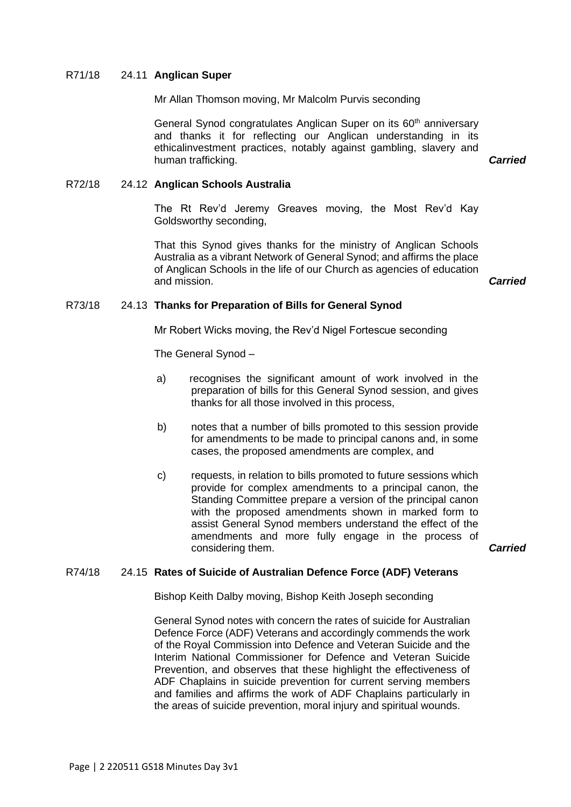#### R71/18 24.11 **Anglican Super**

Mr Allan Thomson moving, Mr Malcolm Purvis seconding

General Synod congratulates Anglican Super on its 60<sup>th</sup> anniversary and thanks it for reflecting our Anglican understanding in its ethicalinvestment practices, notably against gambling, slavery and human trafficking. *Carried*

#### R72/18 24.12 **Anglican Schools Australia**

The Rt Rev'd Jeremy Greaves moving, the Most Rev'd Kay Goldsworthy seconding,

That this Synod gives thanks for the ministry of Anglican Schools Australia as a vibrant Network of General Synod; and affirms the place of Anglican Schools in the life of our Church as agencies of education and mission. *Carried*

#### R73/18 24.13 **Thanks for Preparation of Bills for General Synod**

Mr Robert Wicks moving, the Rev'd Nigel Fortescue seconding

The General Synod –

- a) recognises the significant amount of work involved in the preparation of bills for this General Synod session, and gives thanks for all those involved in this process,
- b) notes that a number of bills promoted to this session provide for amendments to be made to principal canons and, in some cases, the proposed amendments are complex, and
- c) requests, in relation to bills promoted to future sessions which provide for complex amendments to a principal canon, the Standing Committee prepare a version of the principal canon with the proposed amendments shown in marked form to assist General Synod members understand the effect of the amendments and more fully engage in the process of considering them. *Carried*

#### R74/18 24.15 **Rates of Suicide of Australian Defence Force (ADF) Veterans**

Bishop Keith Dalby moving, Bishop Keith Joseph seconding

General Synod notes with concern the rates of suicide for Australian Defence Force (ADF) Veterans and accordingly commends the work of the Royal Commission into Defence and Veteran Suicide and the Interim National Commissioner for Defence and Veteran Suicide Prevention, and observes that these highlight the effectiveness of ADF Chaplains in suicide prevention for current serving members and families and affirms the work of ADF Chaplains particularly in the areas of suicide prevention, moral injury and spiritual wounds.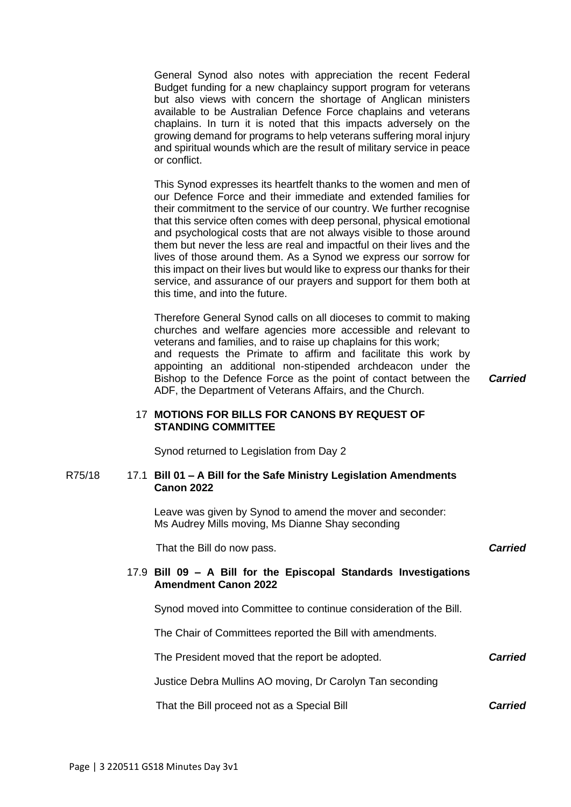General Synod also notes with appreciation the recent Federal Budget funding for a new chaplaincy support program for veterans but also views with concern the shortage of Anglican ministers available to be Australian Defence Force chaplains and veterans chaplains. In turn it is noted that this impacts adversely on the growing demand for programs to help veterans suffering moral injury and spiritual wounds which are the result of military service in peace or conflict.

This Synod expresses its heartfelt thanks to the women and men of our Defence Force and their immediate and extended families for their commitment to the service of our country. We further recognise that this service often comes with deep personal, physical emotional and psychological costs that are not always visible to those around them but never the less are real and impactful on their lives and the lives of those around them. As a Synod we express our sorrow for this impact on their lives but would like to express our thanks for their service, and assurance of our prayers and support for them both at this time, and into the future.

Therefore General Synod calls on all dioceses to commit to making churches and welfare agencies more accessible and relevant to veterans and families, and to raise up chaplains for this work; and requests the Primate to affirm and facilitate this work by appointing an additional non-stipended archdeacon under the Bishop to the Defence Force as the point of contact between the ADF, the Department of Veterans Affairs, and the Church.

*Carried*

# 17 **MOTIONS FOR BILLS FOR CANONS BY REQUEST OF STANDING COMMITTEE**

Synod returned to Legislation from Day 2

#### R75/18 17.1 **Bill 01 – A Bill for the Safe Ministry Legislation Amendments Canon 2022**

Leave was given by Synod to amend the mover and seconder: Ms Audrey Mills moving, Ms Dianne Shay seconding

That the Bill do now pass. *Carried*

# 17.9 **Bill 09 – A Bill for the Episcopal Standards Investigations Amendment Canon 2022**

Synod moved into Committee to continue consideration of the Bill.

The Chair of Committees reported the Bill with amendments.

The President moved that the report be adopted.

Justice Debra Mullins AO moving, Dr Carolyn Tan seconding

That the Bill proceed not as a Special Bill

*Carried*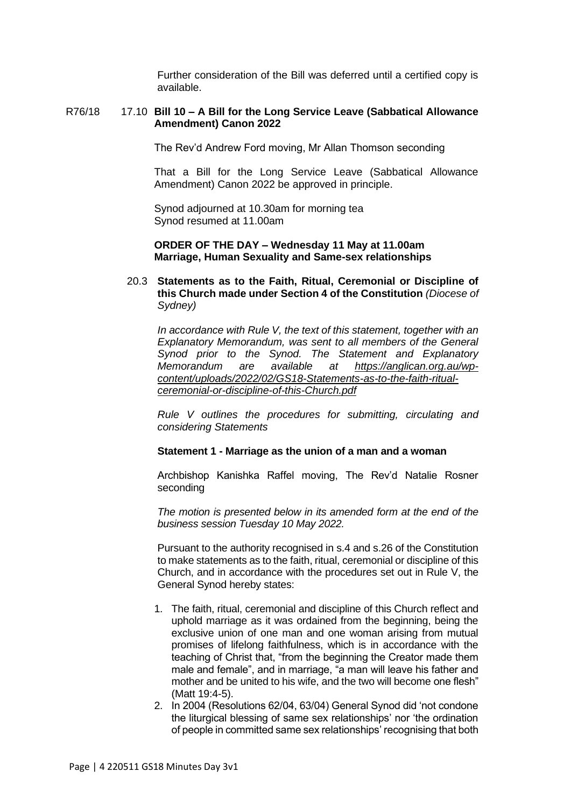Further consideration of the Bill was deferred until a certified copy is available.

#### R76/18 17.10 **Bill 10 – A Bill for the Long Service Leave (Sabbatical Allowance Amendment) Canon 2022**

The Rev'd Andrew Ford moving, Mr Allan Thomson seconding

That a Bill for the Long Service Leave (Sabbatical Allowance Amendment) Canon 2022 be approved in principle.

Synod adjourned at 10.30am for morning tea Synod resumed at 11.00am

#### **ORDER OF THE DAY – Wednesday 11 May at 11.00am Marriage, Human Sexuality and Same-sex relationships**

20.3 **Statements as to the Faith, Ritual, Ceremonial or Discipline of this Church made under Section 4 of the Constitution** *(Diocese of Sydney)*

*In accordance with Rule V, the text of this statement, together with an Explanatory Memorandum, was sent to all members of the General Synod prior to the Synod. The Statement and Explanatory Memorandum are available at [https://anglican.org.au/wp](https://anglican.org.au/wp-content/uploads/2022/02/GS18-Statements-as-to-the-faith-ritual-ceremonial-or-discipline-of-this-Church.pdf)[content/uploads/2022/02/GS18-Statements-as-to-the-faith-ritual](https://anglican.org.au/wp-content/uploads/2022/02/GS18-Statements-as-to-the-faith-ritual-ceremonial-or-discipline-of-this-Church.pdf)[ceremonial-or-discipline-of-this-Church.pdf](https://anglican.org.au/wp-content/uploads/2022/02/GS18-Statements-as-to-the-faith-ritual-ceremonial-or-discipline-of-this-Church.pdf)*

*[Rule](https://anglican.org.au/wp-content/uploads/2022/02/Rule-V-Statement-made-under-Section-4-of-the-Constitution.pdf) V outlines the procedures for submitting, circulating and considering Statements*

#### **Statement 1 - Marriage as the union of a man and a woman**

Archbishop Kanishka Raffel moving, The Rev'd Natalie Rosner seconding

*The motion is presented below in its amended form at the end of the business session Tuesday 10 May 2022.*

Pursuant to the authority recognised in s.4 and s.26 of the Constitution to make statements as to the faith, ritual, ceremonial or discipline of this Church, and in accordance with the procedures set out in Rule V, the General Synod hereby states:

- 1. The faith, ritual, ceremonial and discipline of this Church reflect and uphold marriage as it was ordained from the beginning, being the exclusive union of one man and one woman arising from mutual promises of lifelong faithfulness, which is in accordance with the teaching of Christ that, "from the beginning the Creator made them male and female", and in marriage, "a man will leave his father and mother and be united to his wife, and the two will become one flesh" (Matt 19:4-5).
- 2. In 2004 (Resolutions 62/04, 63/04) General Synod did 'not condone the liturgical blessing of same sex relationships' nor 'the ordination of people in committed same sex relationships' recognising that both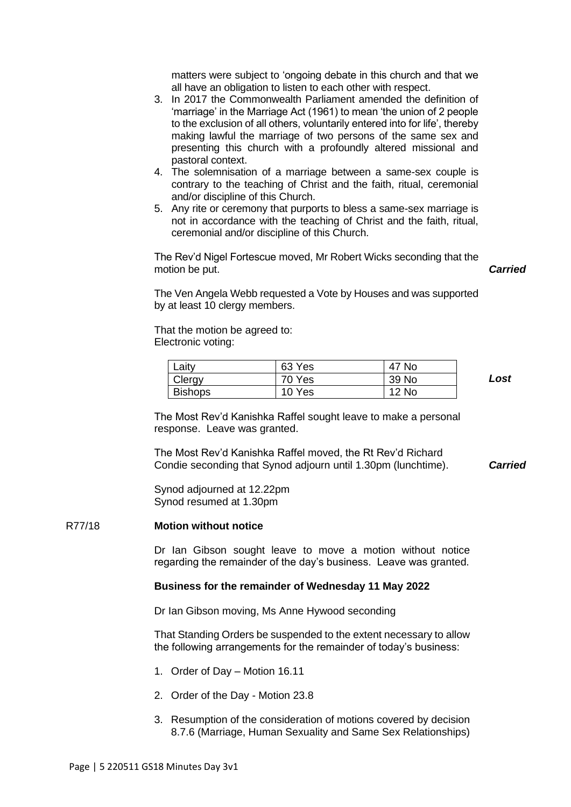matters were subject to 'ongoing debate in this church and that we all have an obligation to listen to each other with respect.

- 3. In 2017 the Commonwealth Parliament amended the definition of 'marriage' in the Marriage Act (1961) to mean 'the union of 2 people to the exclusion of all others, voluntarily entered into for life', thereby making lawful the marriage of two persons of the same sex and presenting this church with a profoundly altered missional and pastoral context.
- 4. The solemnisation of a marriage between a same-sex couple is contrary to the teaching of Christ and the faith, ritual, ceremonial and/or discipline of this Church.
- 5. Any rite or ceremony that purports to bless a same-sex marriage is not in accordance with the teaching of Christ and the faith, ritual, ceremonial and/or discipline of this Church.

The Rev'd Nigel Fortescue moved, Mr Robert Wicks seconding that the motion be put.

The Ven Angela Webb requested a Vote by Houses and was supported by at least 10 clergy members.

That the motion be agreed to: Electronic voting:

| ∟aity          | 63 Yes | 47 No        |  |
|----------------|--------|--------------|--|
| Clergy         | 70 Yes | 39 No        |  |
| <b>Bishops</b> | 10 Yes | <b>12 No</b> |  |

*Lost*

*Carried*

The Most Rev'd Kanishka Raffel sought leave to make a personal response. Leave was granted.

The Most Rev'd Kanishka Raffel moved, the Rt Rev'd Richard Condie seconding that Synod adjourn until 1.30pm (lunchtime). *Carried*

Synod adjourned at 12.22pm Synod resumed at 1.30pm

#### R77/18 **Motion without notice**

Dr Ian Gibson sought leave to move a motion without notice regarding the remainder of the day's business. Leave was granted.

#### **Business for the remainder of Wednesday 11 May 2022**

Dr Ian Gibson moving, Ms Anne Hywood seconding

That Standing Orders be suspended to the extent necessary to allow the following arrangements for the remainder of today's business:

- 1. Order of Day Motion 16.11
- 2. Order of the Day Motion 23.8
- 3. Resumption of the consideration of motions covered by decision 8.7.6 (Marriage, Human Sexuality and Same Sex Relationships)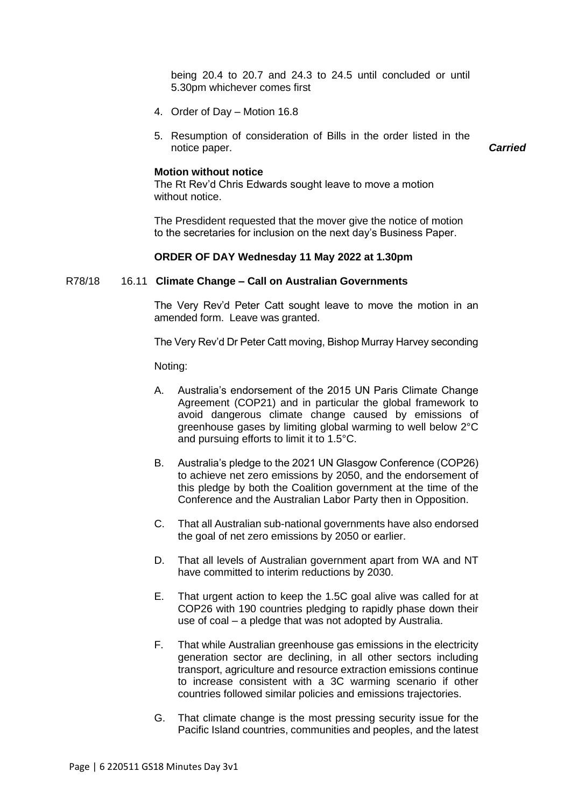being 20.4 to 20.7 and 24.3 to 24.5 until concluded or until 5.30pm whichever comes first

- 4. Order of Day Motion 16.8
- 5. Resumption of consideration of Bills in the order listed in the notice paper. *Carried*

#### **Motion without notice**

The Rt Rev'd Chris Edwards sought leave to move a motion without notice.

The Presdident requested that the mover give the notice of motion to the secretaries for inclusion on the next day's Business Paper.

# **ORDER OF DAY Wednesday 11 May 2022 at 1.30pm**

#### R78/18 16.11 **Climate Change – Call on Australian Governments**

The Very Rev'd Peter Catt sought leave to move the motion in an amended form. Leave was granted.

The Very Rev'd Dr Peter Catt moving, Bishop Murray Harvey seconding

Noting:

- A. Australia's endorsement of the 2015 UN Paris Climate Change Agreement (COP21) and in particular the global framework to avoid dangerous climate change caused by emissions of greenhouse gases by limiting global warming to well below 2°C and pursuing efforts to limit it to 1.5°C.
- B. Australia's pledge to the 2021 UN Glasgow Conference (COP26) to achieve net zero emissions by 2050, and the endorsement of this pledge by both the Coalition government at the time of the Conference and the Australian Labor Party then in Opposition.
- C. That all Australian sub-national governments have also endorsed the goal of net zero emissions by 2050 or earlier.
- D. That all levels of Australian government apart from WA and NT have committed to interim reductions by 2030.
- E. That urgent action to keep the 1.5C goal alive was called for at COP26 with 190 countries pledging to rapidly phase down their use of coal – a pledge that was not adopted by Australia.
- F. That while Australian greenhouse gas emissions in the electricity generation sector are declining, in all other sectors including transport, agriculture and resource extraction emissions continue to increase consistent with a 3C warming scenario if other countries followed similar policies and emissions trajectories.
- G. That climate change is the most pressing security issue for the Pacific Island countries, communities and peoples, and the latest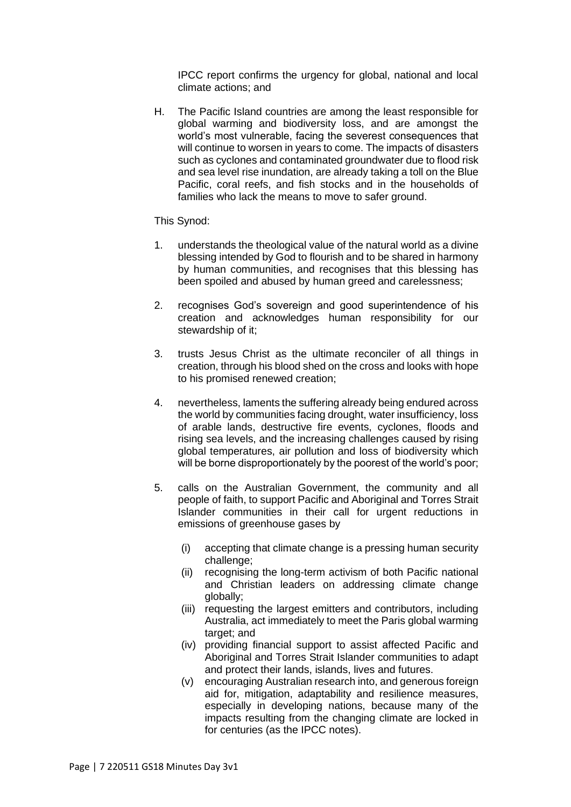IPCC report confirms the urgency for global, national and local climate actions; and

H. The Pacific Island countries are among the least responsible for global warming and biodiversity loss, and are amongst the world's most vulnerable, facing the severest consequences that will continue to worsen in years to come. The impacts of disasters such as cyclones and contaminated groundwater due to flood risk and sea level rise inundation, are already taking a toll on the Blue Pacific, coral reefs, and fish stocks and in the households of families who lack the means to move to safer ground.

# This Synod:

- 1. understands the theological value of the natural world as a divine blessing intended by God to flourish and to be shared in harmony by human communities, and recognises that this blessing has been spoiled and abused by human greed and carelessness;
- 2. recognises God's sovereign and good superintendence of his creation and acknowledges human responsibility for our stewardship of it;
- 3. trusts Jesus Christ as the ultimate reconciler of all things in creation, through his blood shed on the cross and looks with hope to his promised renewed creation;
- 4. nevertheless, laments the suffering already being endured across the world by communities facing drought, water insufficiency, loss of arable lands, destructive fire events, cyclones, floods and rising sea levels, and the increasing challenges caused by rising global temperatures, air pollution and loss of biodiversity which will be borne disproportionately by the poorest of the world's poor;
- 5. calls on the Australian Government, the community and all people of faith, to support Pacific and Aboriginal and Torres Strait Islander communities in their call for urgent reductions in emissions of greenhouse gases by
	- (i) accepting that climate change is a pressing human security challenge;
	- (ii) recognising the long-term activism of both Pacific national and Christian leaders on addressing climate change globally;
	- (iii) requesting the largest emitters and contributors, including Australia, act immediately to meet the Paris global warming target; and
	- (iv) providing financial support to assist affected Pacific and Aboriginal and Torres Strait Islander communities to adapt and protect their lands, islands, lives and futures.
	- (v) encouraging Australian research into, and generous foreign aid for, mitigation, adaptability and resilience measures, especially in developing nations, because many of the impacts resulting from the changing climate are locked in for centuries (as the IPCC notes).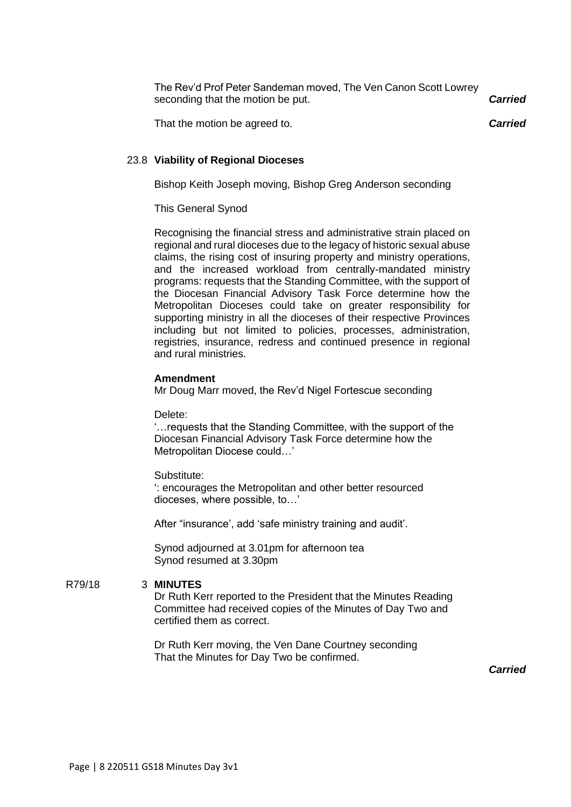| The Rev'd Prof Peter Sandeman moved, The Ven Canon Scott Lowrey<br>seconding that the motion be put. | <b>Carried</b> |
|------------------------------------------------------------------------------------------------------|----------------|
| That the motion be agreed to.                                                                        | <b>Carried</b> |

# 23.8 **Viability of Regional Dioceses**

Bishop Keith Joseph moving, Bishop Greg Anderson seconding

# This General Synod

Recognising the financial stress and administrative strain placed on regional and rural dioceses due to the legacy of historic sexual abuse claims, the rising cost of insuring property and ministry operations, and the increased workload from centrally-mandated ministry programs: requests that the Standing Committee, with the support of the Diocesan Financial Advisory Task Force determine how the Metropolitan Dioceses could take on greater responsibility for supporting ministry in all the dioceses of their respective Provinces including but not limited to policies, processes, administration, registries, insurance, redress and continued presence in regional and rural ministries.

#### **Amendment**

Mr Doug Marr moved, the Rev'd Nigel Fortescue seconding

Delete:

'…requests that the Standing Committee, with the support of the Diocesan Financial Advisory Task Force determine how the Metropolitan Diocese could…'

#### Substitute:

': encourages the Metropolitan and other better resourced dioceses, where possible, to…'

After "insurance', add 'safe ministry training and audit'.

Synod adjourned at 3.01pm for afternoon tea Synod resumed at 3.30pm

R79/18 3 **MINUTES**

Dr Ruth Kerr reported to the President that the Minutes Reading Committee had received copies of the Minutes of Day Two and certified them as correct.

Dr Ruth Kerr moving, the Ven Dane Courtney seconding That the Minutes for Day Two be confirmed.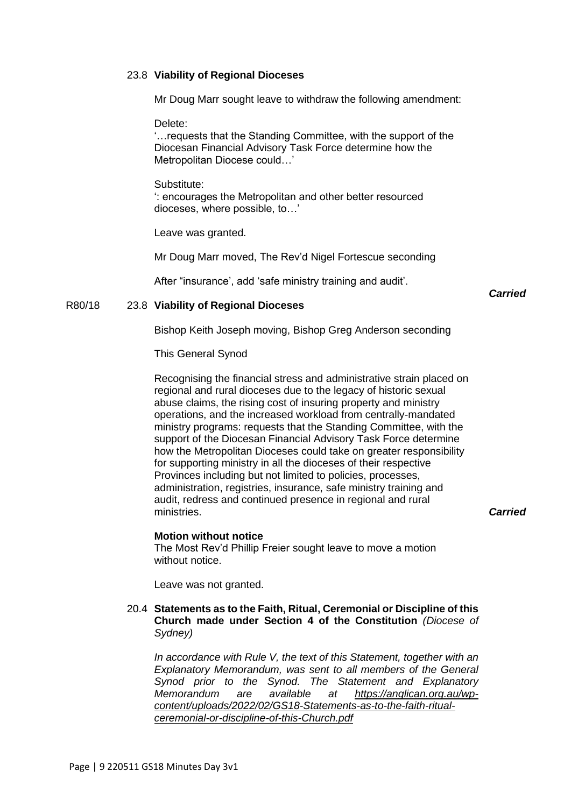#### 23.8 **Viability of Regional Dioceses**

Mr Doug Marr sought leave to withdraw the following amendment:

Delete:

'…requests that the Standing Committee, with the support of the Diocesan Financial Advisory Task Force determine how the Metropolitan Diocese could…'

Substitute: ': encourages the Metropolitan and other better resourced dioceses, where possible, to…'

Leave was granted.

Mr Doug Marr moved, The Rev'd Nigel Fortescue seconding

After "insurance', add 'safe ministry training and audit'.

*Carried*

# R80/18 23.8 **Viability of Regional Dioceses**

Bishop Keith Joseph moving, Bishop Greg Anderson seconding

This General Synod

Recognising the financial stress and administrative strain placed on regional and rural dioceses due to the legacy of historic sexual abuse claims, the rising cost of insuring property and ministry operations, and the increased workload from centrally-mandated ministry programs: requests that the Standing Committee, with the support of the Diocesan Financial Advisory Task Force determine how the Metropolitan Dioceses could take on greater responsibility for supporting ministry in all the dioceses of their respective Provinces including but not limited to policies, processes, administration, registries, insurance, safe ministry training and audit, redress and continued presence in regional and rural ministries. *Carried*

# **Motion without notice**

The Most Rev'd Phillip Freier sought leave to move a motion without notice.

Leave was not granted.

# 20.4 **Statements as to the Faith, Ritual, Ceremonial or Discipline of this Church made under Section 4 of the Constitution** *(Diocese of Sydney)*

*In accordance with Rule V, the text of this Statement, together with an Explanatory Memorandum, was sent to all members of the General Synod prior to the Synod. The Statement and Explanatory Memorandum are available at [https://anglican.org.au/wp](https://anglican.org.au/wp-content/uploads/2022/02/GS18-Statements-as-to-the-faith-ritual-ceremonial-or-discipline-of-this-Church.pdf)[content/uploads/2022/02/GS18-Statements-as-to-the-faith-ritual](https://anglican.org.au/wp-content/uploads/2022/02/GS18-Statements-as-to-the-faith-ritual-ceremonial-or-discipline-of-this-Church.pdf)[ceremonial-or-discipline-of-this-Church.pdf](https://anglican.org.au/wp-content/uploads/2022/02/GS18-Statements-as-to-the-faith-ritual-ceremonial-or-discipline-of-this-Church.pdf)*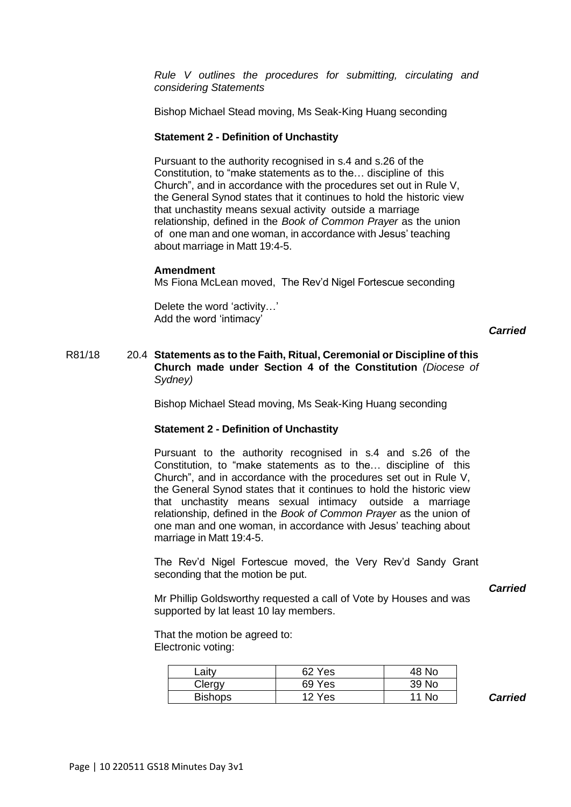*[Rule](https://anglican.org.au/wp-content/uploads/2022/02/Rule-V-Statement-made-under-Section-4-of-the-Constitution.pdf) V outlines the procedures for submitting, circulating and considering Statements*

Bishop Michael Stead moving, Ms Seak-King Huang seconding

#### **Statement 2 - Definition of Unchastity**

Pursuant to the authority recognised in s.4 and s.26 of the Constitution, to "make statements as to the… discipline of this Church", and in accordance with the procedures set out in Rule V, the General Synod states that it continues to hold the historic view that unchastity means sexual activity outside a marriage relationship, defined in the *Book of Common Prayer* as the union of one man and one woman, in accordance with Jesus' teaching about marriage in Matt 19:4-5.

#### **Amendment**

Ms Fiona McLean moved, The Rev'd Nigel Fortescue seconding

Delete the word 'activity…' Add the word 'intimacy'

#### *Carried*

# R81/18 20.4 **Statements as to the Faith, Ritual, Ceremonial or Discipline of this Church made under Section 4 of the Constitution** *(Diocese of Sydney)*

Bishop Michael Stead moving, Ms Seak-King Huang seconding

#### **Statement 2 - Definition of Unchastity**

Pursuant to the authority recognised in s.4 and s.26 of the Constitution, to "make statements as to the… discipline of this Church", and in accordance with the procedures set out in Rule V, the General Synod states that it continues to hold the historic view that unchastity means sexual intimacy outside a marriage relationship, defined in the *Book of Common Prayer* as the union of one man and one woman, in accordance with Jesus' teaching about marriage in Matt 19:4-5.

The Rev'd Nigel Fortescue moved, the Very Rev'd Sandy Grant seconding that the motion be put.

#### *Carried*

Mr Phillip Goldsworthy requested a call of Vote by Houses and was supported by lat least 10 lay members.

That the motion be agreed to: Electronic voting:

| ∟aity          | 62 Yes | 48 No |
|----------------|--------|-------|
| Clergy         | 69 Yes | 39 No |
| <b>Bishops</b> | 12 Yes | 11 No |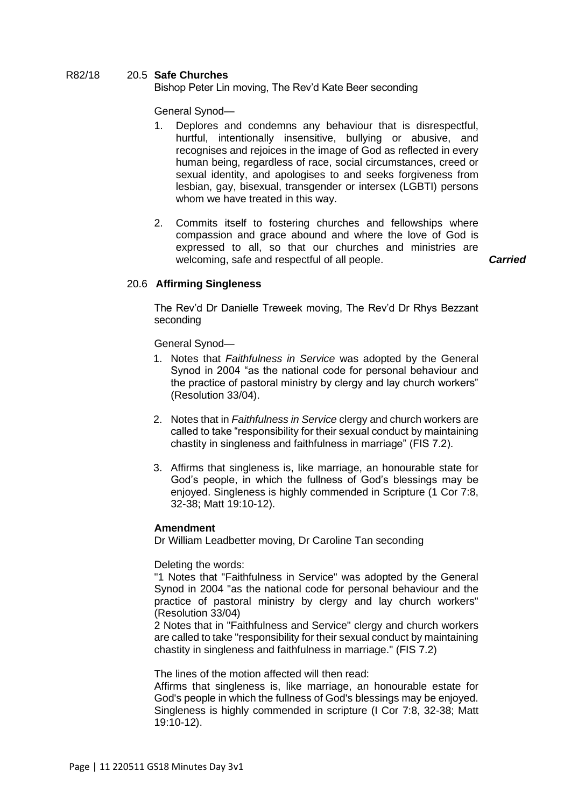# R82/18 20.5 **Safe Churches**

Bishop Peter Lin moving, The Rev'd Kate Beer seconding

General Synod—

- 1. Deplores and condemns any behaviour that is disrespectful, hurtful, intentionally insensitive, bullying or abusive, and recognises and rejoices in the image of God as reflected in every human being, regardless of race, social circumstances, creed or sexual identity, and apologises to and seeks forgiveness from lesbian, gay, bisexual, transgender or intersex (LGBTI) persons whom we have treated in this way.
- 2. Commits itself to fostering churches and fellowships where compassion and grace abound and where the love of God is expressed to all, so that our churches and ministries are welcoming, safe and respectful of all people. *Carried*

# 20.6 **Affirming Singleness**

The Rev'd Dr Danielle Treweek moving, The Rev'd Dr Rhys Bezzant seconding

General Synod—

- 1. Notes that *Faithfulness in Service* was adopted by the General Synod in 2004 "as the national code for personal behaviour and the practice of pastoral ministry by clergy and lay church workers" (Resolution 33/04).
- 2. Notes that in *Faithfulness in Service* clergy and church workers are called to take "responsibility for their sexual conduct by maintaining chastity in singleness and faithfulness in marriage" (FIS 7.2).
- 3. Affirms that singleness is, like marriage, an honourable state for God's people, in which the fullness of God's blessings may be enjoyed. Singleness is highly commended in Scripture (1 Cor 7:8, 32-38; Matt 19:10-12).

# **Amendment**

Dr William Leadbetter moving, Dr Caroline Tan seconding

Deleting the words:

"1 Notes that "Faithfulness in Service" was adopted by the General Synod in 2004 "as the national code for personal behaviour and the practice of pastoral ministry by clergy and lay church workers" (Resolution 33/04)

2 Notes that in "Faithfulness and Service" clergy and church workers are called to take "responsibility for their sexual conduct by maintaining chastity in singleness and faithfulness in marriage." (FIS 7.2)

The lines of the motion affected will then read:

Affirms that singleness is, like marriage, an honourable estate for God's people in which the fullness of God's blessings may be enjoyed. Singleness is highly commended in scripture (I Cor 7:8, 32-38; Matt 19:10-12).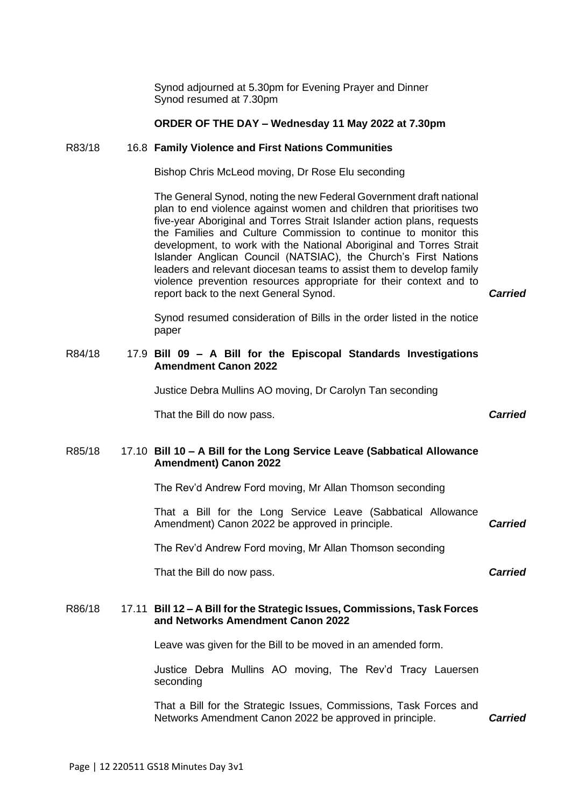Synod adjourned at 5.30pm for Evening Prayer and Dinner Synod resumed at 7.30pm

#### **ORDER OF THE DAY – Wednesday 11 May 2022 at 7.30pm**

#### R83/18 16.8 **Family Violence and First Nations Communities**

Bishop Chris McLeod moving, Dr Rose Elu seconding

The General Synod, noting the new Federal Government draft national plan to end violence against women and children that prioritises two five-year Aboriginal and Torres Strait Islander action plans, requests the Families and Culture Commission to continue to monitor this development, to work with the National Aboriginal and Torres Strait Islander Anglican Council (NATSIAC), the Church's First Nations leaders and relevant diocesan teams to assist them to develop family violence prevention resources appropriate for their context and to report back to the next General Synod. *Carried*

Synod resumed consideration of Bills in the order listed in the notice paper

# R84/18 17.9 **Bill 09 – A Bill for the Episcopal Standards Investigations Amendment Canon 2022**

Justice Debra Mullins AO moving, Dr Carolyn Tan seconding

That the Bill do now pass. *Carried*

# R85/18 17.10 **Bill 10 – A Bill for the Long Service Leave (Sabbatical Allowance Amendment) Canon 2022**

The Rev'd Andrew Ford moving, Mr Allan Thomson seconding

That a Bill for the Long Service Leave (Sabbatical Allowance Amendment) Canon 2022 be approved in principle. *Carried*

The Rev'd Andrew Ford moving, Mr Allan Thomson seconding

That the Bill do now pass.

# R86/18 17.11 **Bill 12 – A Bill for the Strategic Issues, Commissions, Task Forces and Networks Amendment Canon 2022**

Leave was given for the Bill to be moved in an amended form.

Justice Debra Mullins AO moving, The Rev'd Tracy Lauersen seconding

That a Bill for the Strategic Issues, Commissions, Task Forces and Networks Amendment Canon 2022 be approved in principle. *Carried*